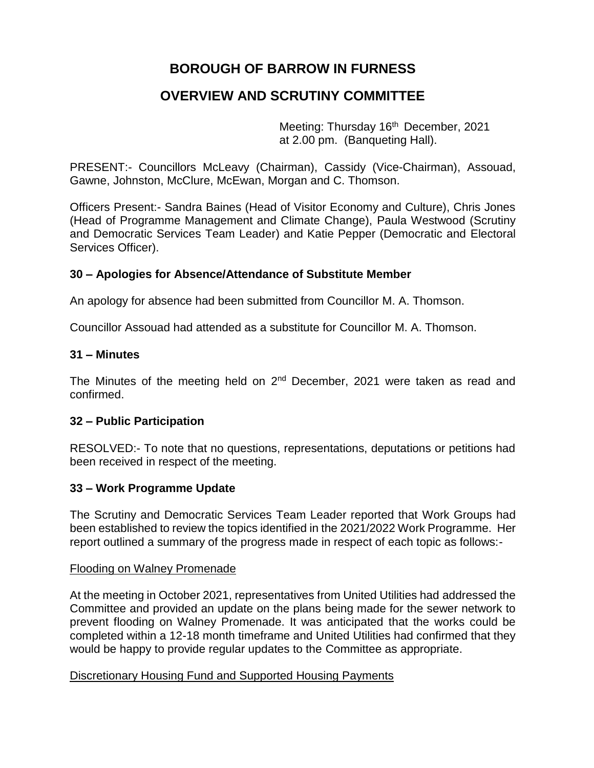# **BOROUGH OF BARROW IN FURNESS**

# **OVERVIEW AND SCRUTINY COMMITTEE**

Meeting: Thursday 16<sup>th</sup> December, 2021 at 2.00 pm. (Banqueting Hall).

PRESENT:- Councillors McLeavy (Chairman), Cassidy (Vice-Chairman), Assouad, Gawne, Johnston, McClure, McEwan, Morgan and C. Thomson.

Officers Present:- Sandra Baines (Head of Visitor Economy and Culture), Chris Jones (Head of Programme Management and Climate Change), Paula Westwood (Scrutiny and Democratic Services Team Leader) and Katie Pepper (Democratic and Electoral Services Officer).

### **30 – Apologies for Absence/Attendance of Substitute Member**

An apology for absence had been submitted from Councillor M. A. Thomson.

Councillor Assouad had attended as a substitute for Councillor M. A. Thomson.

#### **31 – Minutes**

The Minutes of the meeting held on 2<sup>nd</sup> December, 2021 were taken as read and confirmed.

#### **32 – Public Participation**

RESOLVED:- To note that no questions, representations, deputations or petitions had been received in respect of the meeting.

#### **33 – Work Programme Update**

The Scrutiny and Democratic Services Team Leader reported that Work Groups had been established to review the topics identified in the 2021/2022 Work Programme. Her report outlined a summary of the progress made in respect of each topic as follows:-

#### Flooding on Walney Promenade

At the meeting in October 2021, representatives from United Utilities had addressed the Committee and provided an update on the plans being made for the sewer network to prevent flooding on Walney Promenade. It was anticipated that the works could be completed within a 12-18 month timeframe and United Utilities had confirmed that they would be happy to provide regular updates to the Committee as appropriate.

#### Discretionary Housing Fund and Supported Housing Payments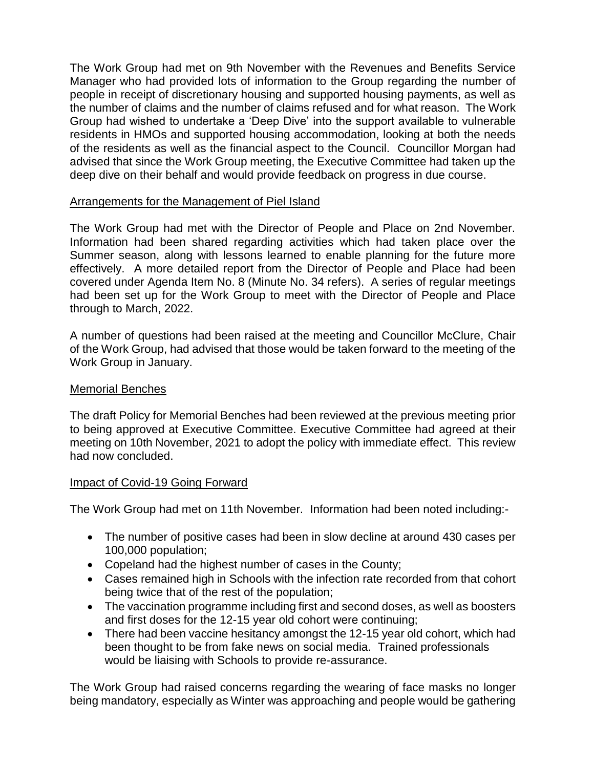The Work Group had met on 9th November with the Revenues and Benefits Service Manager who had provided lots of information to the Group regarding the number of people in receipt of discretionary housing and supported housing payments, as well as the number of claims and the number of claims refused and for what reason. The Work Group had wished to undertake a 'Deep Dive' into the support available to vulnerable residents in HMOs and supported housing accommodation, looking at both the needs of the residents as well as the financial aspect to the Council. Councillor Morgan had advised that since the Work Group meeting, the Executive Committee had taken up the deep dive on their behalf and would provide feedback on progress in due course.

# Arrangements for the Management of Piel Island

The Work Group had met with the Director of People and Place on 2nd November. Information had been shared regarding activities which had taken place over the Summer season, along with lessons learned to enable planning for the future more effectively. A more detailed report from the Director of People and Place had been covered under Agenda Item No. 8 (Minute No. 34 refers). A series of regular meetings had been set up for the Work Group to meet with the Director of People and Place through to March, 2022.

A number of questions had been raised at the meeting and Councillor McClure, Chair of the Work Group, had advised that those would be taken forward to the meeting of the Work Group in January.

# Memorial Benches

The draft Policy for Memorial Benches had been reviewed at the previous meeting prior to being approved at Executive Committee. Executive Committee had agreed at their meeting on 10th November, 2021 to adopt the policy with immediate effect. This review had now concluded.

# Impact of Covid-19 Going Forward

The Work Group had met on 11th November. Information had been noted including:-

- The number of positive cases had been in slow decline at around 430 cases per 100,000 population;
- Copeland had the highest number of cases in the County;
- Cases remained high in Schools with the infection rate recorded from that cohort being twice that of the rest of the population;
- The vaccination programme including first and second doses, as well as boosters and first doses for the 12-15 year old cohort were continuing;
- There had been vaccine hesitancy amongst the 12-15 year old cohort, which had been thought to be from fake news on social media. Trained professionals would be liaising with Schools to provide re-assurance.

The Work Group had raised concerns regarding the wearing of face masks no longer being mandatory, especially as Winter was approaching and people would be gathering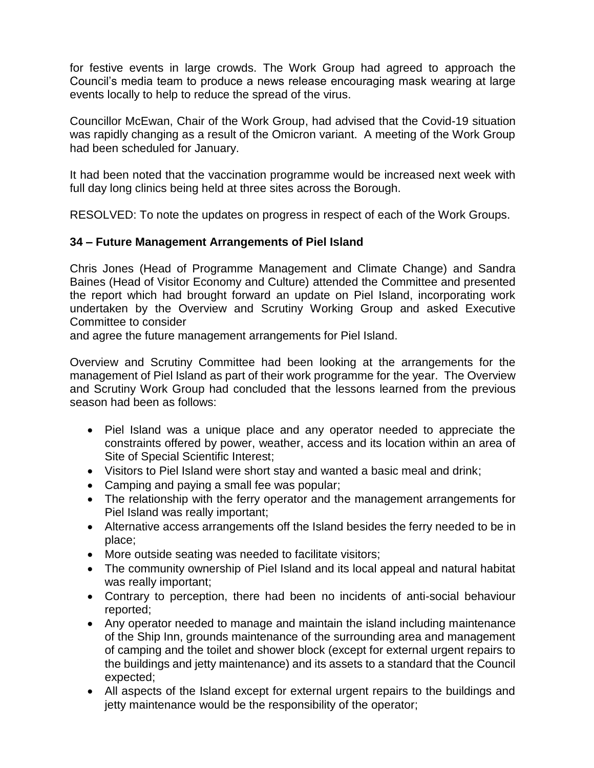for festive events in large crowds. The Work Group had agreed to approach the Council's media team to produce a news release encouraging mask wearing at large events locally to help to reduce the spread of the virus.

Councillor McEwan, Chair of the Work Group, had advised that the Covid-19 situation was rapidly changing as a result of the Omicron variant. A meeting of the Work Group had been scheduled for January.

It had been noted that the vaccination programme would be increased next week with full day long clinics being held at three sites across the Borough.

RESOLVED: To note the updates on progress in respect of each of the Work Groups.

# **34 – Future Management Arrangements of Piel Island**

Chris Jones (Head of Programme Management and Climate Change) and Sandra Baines (Head of Visitor Economy and Culture) attended the Committee and presented the report which had brought forward an update on Piel Island, incorporating work undertaken by the Overview and Scrutiny Working Group and asked Executive Committee to consider

and agree the future management arrangements for Piel Island.

Overview and Scrutiny Committee had been looking at the arrangements for the management of Piel Island as part of their work programme for the year. The Overview and Scrutiny Work Group had concluded that the lessons learned from the previous season had been as follows:

- Piel Island was a unique place and any operator needed to appreciate the constraints offered by power, weather, access and its location within an area of Site of Special Scientific Interest;
- Visitors to Piel Island were short stay and wanted a basic meal and drink;
- Camping and paying a small fee was popular;
- The relationship with the ferry operator and the management arrangements for Piel Island was really important;
- Alternative access arrangements off the Island besides the ferry needed to be in place;
- More outside seating was needed to facilitate visitors;
- The community ownership of Piel Island and its local appeal and natural habitat was really important;
- Contrary to perception, there had been no incidents of anti-social behaviour reported;
- Any operator needed to manage and maintain the island including maintenance of the Ship Inn, grounds maintenance of the surrounding area and management of camping and the toilet and shower block (except for external urgent repairs to the buildings and jetty maintenance) and its assets to a standard that the Council expected;
- All aspects of the Island except for external urgent repairs to the buildings and jetty maintenance would be the responsibility of the operator;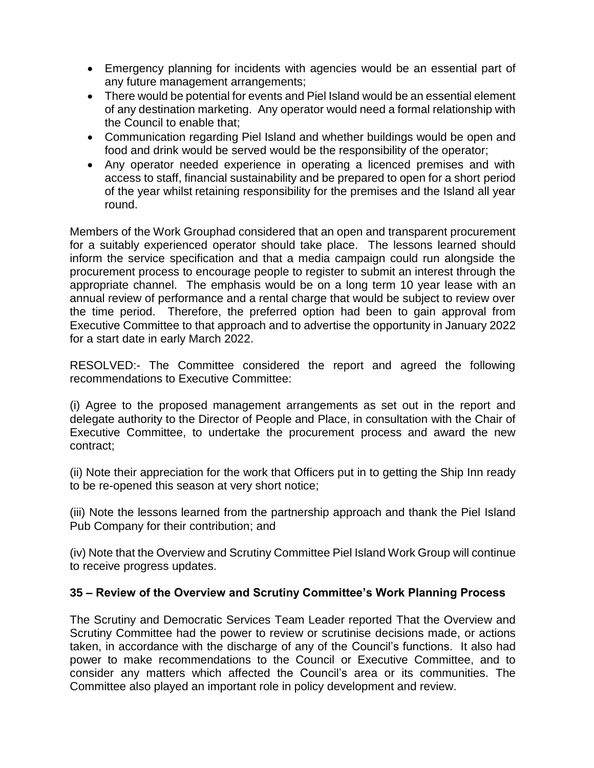- Emergency planning for incidents with agencies would be an essential part of any future management arrangements;
- There would be potential for events and Piel Island would be an essential element of any destination marketing. Any operator would need a formal relationship with the Council to enable that;
- Communication regarding Piel Island and whether buildings would be open and food and drink would be served would be the responsibility of the operator;
- Any operator needed experience in operating a licenced premises and with access to staff, financial sustainability and be prepared to open for a short period of the year whilst retaining responsibility for the premises and the Island all year round.

Members of the Work Grouphad considered that an open and transparent procurement for a suitably experienced operator should take place. The lessons learned should inform the service specification and that a media campaign could run alongside the procurement process to encourage people to register to submit an interest through the appropriate channel. The emphasis would be on a long term 10 year lease with an annual review of performance and a rental charge that would be subject to review over the time period. Therefore, the preferred option had been to gain approval from Executive Committee to that approach and to advertise the opportunity in January 2022 for a start date in early March 2022.

RESOLVED:- The Committee considered the report and agreed the following recommendations to Executive Committee:

(i) Agree to the proposed management arrangements as set out in the report and delegate authority to the Director of People and Place, in consultation with the Chair of Executive Committee, to undertake the procurement process and award the new contract;

(ii) Note their appreciation for the work that Officers put in to getting the Ship Inn ready to be re-opened this season at very short notice;

(iii) Note the lessons learned from the partnership approach and thank the Piel Island Pub Company for their contribution; and

(iv) Note that the Overview and Scrutiny Committee Piel Island Work Group will continue to receive progress updates.

# **35 – Review of the Overview and Scrutiny Committee's Work Planning Process**

The Scrutiny and Democratic Services Team Leader reported That the Overview and Scrutiny Committee had the power to review or scrutinise decisions made, or actions taken, in accordance with the discharge of any of the Council's functions. It also had power to make recommendations to the Council or Executive Committee, and to consider any matters which affected the Council's area or its communities. The Committee also played an important role in policy development and review.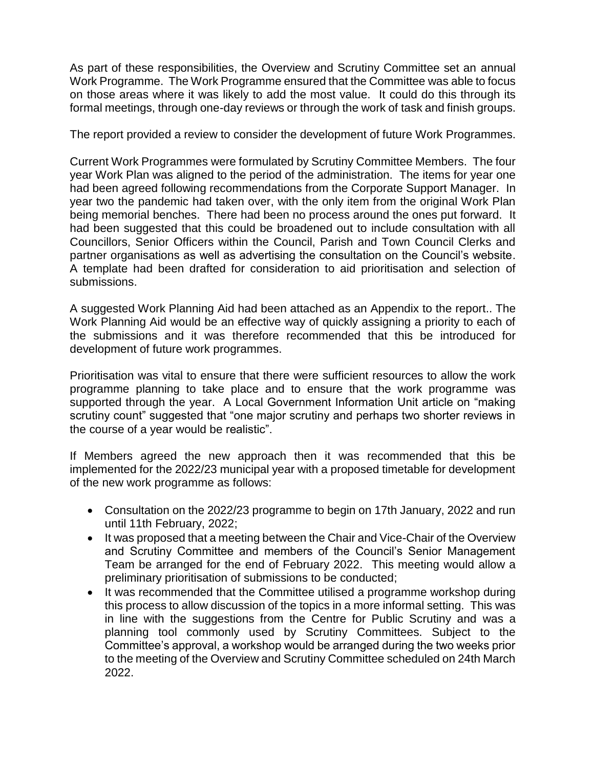As part of these responsibilities, the Overview and Scrutiny Committee set an annual Work Programme. The Work Programme ensured that the Committee was able to focus on those areas where it was likely to add the most value. It could do this through its formal meetings, through one-day reviews or through the work of task and finish groups.

The report provided a review to consider the development of future Work Programmes.

Current Work Programmes were formulated by Scrutiny Committee Members. The four year Work Plan was aligned to the period of the administration. The items for year one had been agreed following recommendations from the Corporate Support Manager. In year two the pandemic had taken over, with the only item from the original Work Plan being memorial benches. There had been no process around the ones put forward. It had been suggested that this could be broadened out to include consultation with all Councillors, Senior Officers within the Council, Parish and Town Council Clerks and partner organisations as well as advertising the consultation on the Council's website. A template had been drafted for consideration to aid prioritisation and selection of submissions.

A suggested Work Planning Aid had been attached as an Appendix to the report.. The Work Planning Aid would be an effective way of quickly assigning a priority to each of the submissions and it was therefore recommended that this be introduced for development of future work programmes.

Prioritisation was vital to ensure that there were sufficient resources to allow the work programme planning to take place and to ensure that the work programme was supported through the year. A Local Government Information Unit article on "making scrutiny count" suggested that "one major scrutiny and perhaps two shorter reviews in the course of a year would be realistic".

If Members agreed the new approach then it was recommended that this be implemented for the 2022/23 municipal year with a proposed timetable for development of the new work programme as follows:

- Consultation on the 2022/23 programme to begin on 17th January, 2022 and run until 11th February, 2022;
- It was proposed that a meeting between the Chair and Vice-Chair of the Overview and Scrutiny Committee and members of the Council's Senior Management Team be arranged for the end of February 2022. This meeting would allow a preliminary prioritisation of submissions to be conducted;
- It was recommended that the Committee utilised a programme workshop during this process to allow discussion of the topics in a more informal setting. This was in line with the suggestions from the Centre for Public Scrutiny and was a planning tool commonly used by Scrutiny Committees. Subject to the Committee's approval, a workshop would be arranged during the two weeks prior to the meeting of the Overview and Scrutiny Committee scheduled on 24th March 2022.